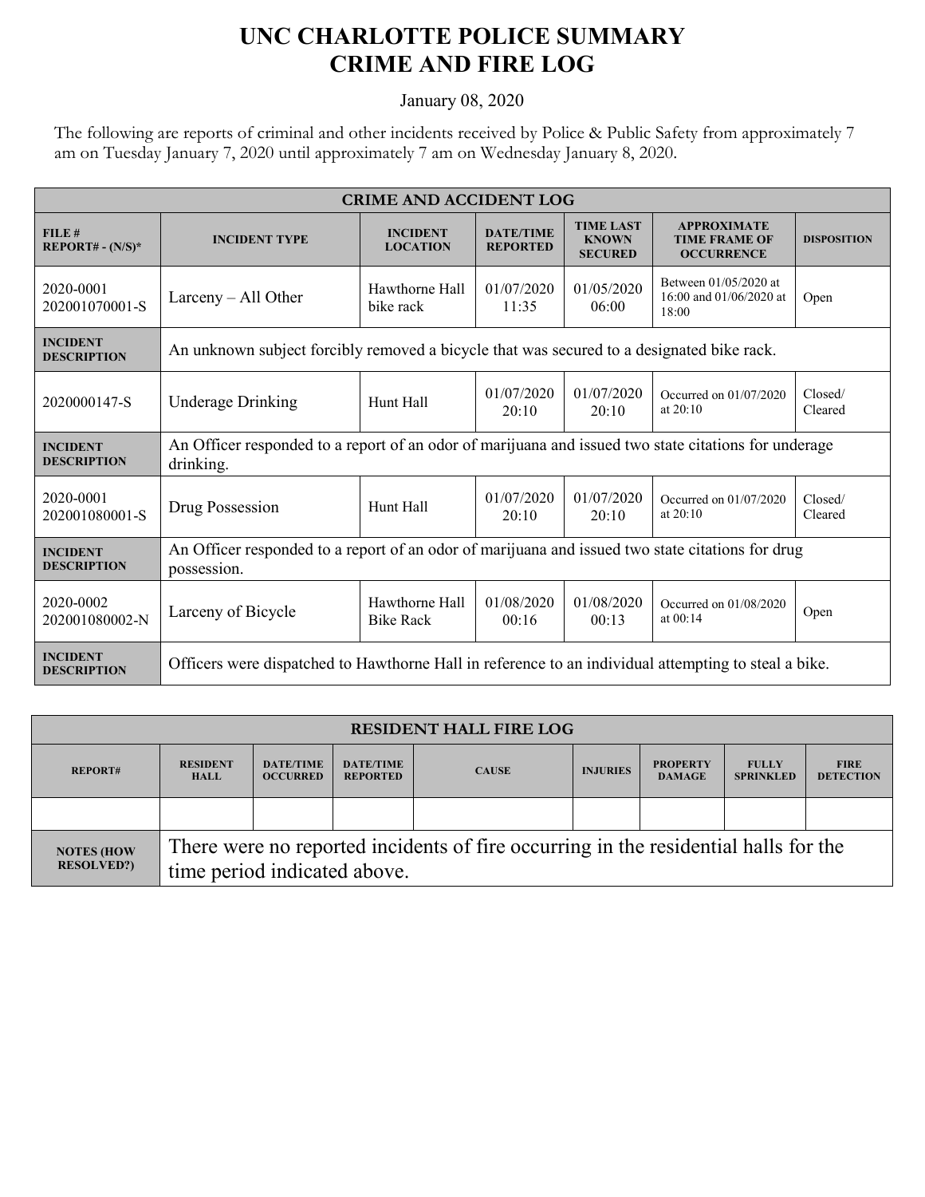## **UNC CHARLOTTE POLICE SUMMARY CRIME AND FIRE LOG**

January 08, 2020

The following are reports of criminal and other incidents received by Police & Public Safety from approximately 7 am on Tuesday January 7, 2020 until approximately 7 am on Wednesday January 8, 2020.

| <b>CRIME AND ACCIDENT LOG</b>         |                                                                                                                   |                                                                           |                                            |                                                    |                                                                 |                    |  |  |
|---------------------------------------|-------------------------------------------------------------------------------------------------------------------|---------------------------------------------------------------------------|--------------------------------------------|----------------------------------------------------|-----------------------------------------------------------------|--------------------|--|--|
| FILE#<br>$REPORT# - (N/S)*$           | <b>INCIDENT TYPE</b>                                                                                              | <b>DATE/TIME</b><br><b>INCIDENT</b><br><b>LOCATION</b><br><b>REPORTED</b> |                                            | <b>TIME LAST</b><br><b>KNOWN</b><br><b>SECURED</b> | <b>APPROXIMATE</b><br><b>TIME FRAME OF</b><br><b>OCCURRENCE</b> | <b>DISPOSITION</b> |  |  |
| 2020-0001<br>202001070001-S           | Larceny $-$ All Other                                                                                             | Hawthorne Hall<br>bike rack                                               | 01/07/2020<br>11:35                        | 01/05/2020<br>06:00                                | Between 01/05/2020 at<br>16:00 and 01/06/2020 at<br>18:00       | Open               |  |  |
| <b>INCIDENT</b><br><b>DESCRIPTION</b> | An unknown subject forcibly removed a bicycle that was secured to a designated bike rack.                         |                                                                           |                                            |                                                    |                                                                 |                    |  |  |
| 2020000147-S                          | <b>Underage Drinking</b>                                                                                          | Hunt Hall                                                                 | 01/07/2020<br>01/07/2020<br>20:10<br>20:10 |                                                    | Occurred on 01/07/2020<br>at 20:10                              | Closed/<br>Cleared |  |  |
| <b>INCIDENT</b><br><b>DESCRIPTION</b> | An Officer responded to a report of an odor of marijuana and issued two state citations for underage<br>drinking. |                                                                           |                                            |                                                    |                                                                 |                    |  |  |
| 2020-0001<br>202001080001-S           | Drug Possession                                                                                                   | 01/07/2020<br>Hunt Hall<br>20:10                                          |                                            | 01/07/2020<br>20:10                                | Occurred on 01/07/2020<br>at $20:10$                            | Closed/<br>Cleared |  |  |
| <b>INCIDENT</b><br><b>DESCRIPTION</b> | An Officer responded to a report of an odor of marijuana and issued two state citations for drug<br>possession.   |                                                                           |                                            |                                                    |                                                                 |                    |  |  |
| 2020-0002<br>202001080002-N           | Larceny of Bicycle                                                                                                | Hawthorne Hall<br><b>Bike Rack</b>                                        | 01/08/2020<br>00:16                        | 01/08/2020<br>00:13                                | Occurred on 01/08/2020<br>at 00:14                              | Open               |  |  |
| <b>INCIDENT</b><br><b>DESCRIPTION</b> | Officers were dispatched to Hawthorne Hall in reference to an individual attempting to steal a bike.              |                                                                           |                                            |                                                    |                                                                 |                    |  |  |

| <b>RESIDENT HALL FIRE LOG</b>          |                                                                                                                     |                                     |                                     |              |                 |                                  |                                  |                                 |
|----------------------------------------|---------------------------------------------------------------------------------------------------------------------|-------------------------------------|-------------------------------------|--------------|-----------------|----------------------------------|----------------------------------|---------------------------------|
| <b>REPORT#</b>                         | <b>RESIDENT</b><br><b>HALL</b>                                                                                      | <b>DATE/TIME</b><br><b>OCCURRED</b> | <b>DATE/TIME</b><br><b>REPORTED</b> | <b>CAUSE</b> | <b>INJURIES</b> | <b>PROPERTY</b><br><b>DAMAGE</b> | <b>FULLY</b><br><b>SPRINKLED</b> | <b>FIRE</b><br><b>DETECTION</b> |
|                                        |                                                                                                                     |                                     |                                     |              |                 |                                  |                                  |                                 |
| <b>NOTES (HOW</b><br><b>RESOLVED?)</b> | There were no reported incidents of fire occurring in the residential halls for the<br>time period indicated above. |                                     |                                     |              |                 |                                  |                                  |                                 |